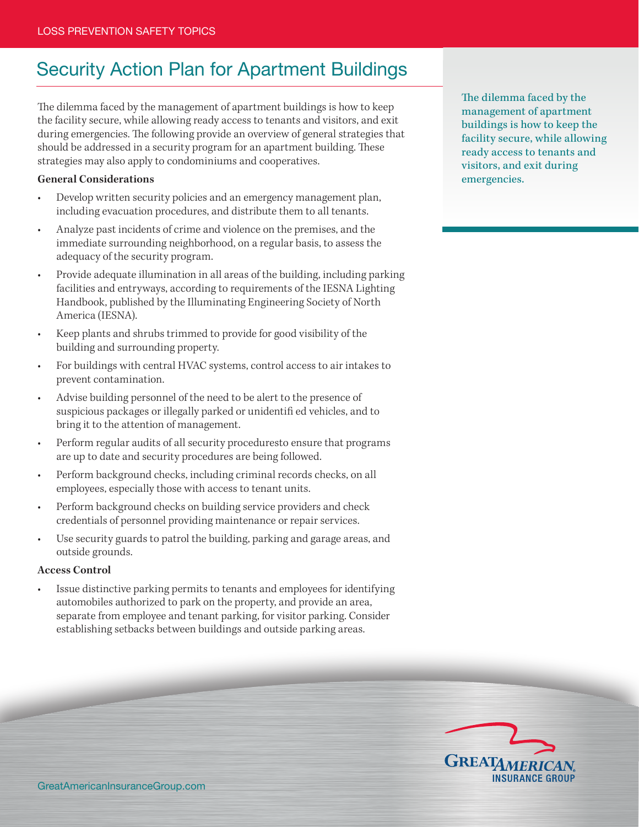## Security Action Plan for Apartment Buildings

The dilemma faced by the management of apartment buildings is how to keep the facility secure, while allowing ready access to tenants and visitors, and exit during emergencies. The following provide an overview of general strategies that should be addressed in a security program for an apartment building. These strategies may also apply to condominiums and cooperatives.

## **General Considerations**

- Develop written security policies and an emergency management plan, including evacuation procedures, and distribute them to all tenants.
- Analyze past incidents of crime and violence on the premises, and the immediate surrounding neighborhood, on a regular basis, to assess the adequacy of the security program.
- Provide adequate illumination in all areas of the building, including parking facilities and entryways, according to requirements of the IESNA Lighting Handbook, published by the Illuminating Engineering Society of North America (IESNA).
- Keep plants and shrubs trimmed to provide for good visibility of the building and surrounding property.
- For buildings with central HVAC systems, control access to air intakes to prevent contamination.
- Advise building personnel of the need to be alert to the presence of suspicious packages or illegally parked or unidentifi ed vehicles, and to bring it to the attention of management.
- Perform regular audits of all security proceduresto ensure that programs are up to date and security procedures are being followed.
- Perform background checks, including criminal records checks, on all employees, especially those with access to tenant units.
- Perform background checks on building service providers and check credentials of personnel providing maintenance or repair services.
- Use security guards to patrol the building, parking and garage areas, and outside grounds.

## **Access Control**

Issue distinctive parking permits to tenants and employees for identifying automobiles authorized to park on the property, and provide an area, separate from employee and tenant parking, for visitor parking. Consider establishing setbacks between buildings and outside parking areas.

The dilemma faced by the management of apartment buildings is how to keep the facility secure, while allowing ready access to tenants and visitors, and exit during emergencies.